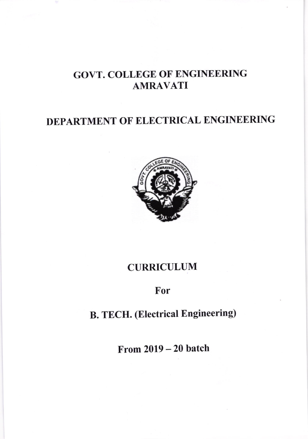## GOVT. COLLEGE OF ENGINEERING AMRAVATI

## DEPARTMENT OF ELECTRICAL ENGINEERING



#### CURRICULUM

### For

# B. TECH. (Electrical Engineering)

From 2019 - 20 batch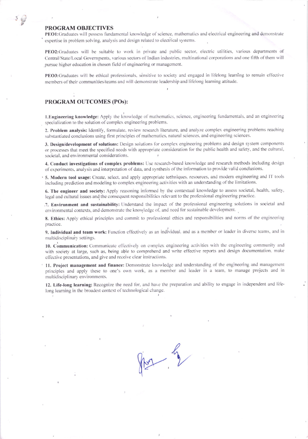#### PROGRAM OBJECTIVES

PEO1:Graduates will possess fundamental knowledge of science, mathematics and electrical engineering and demonstrate expertise in problem solving, analysis and design related to electrical systems.

PEO2:Graduates will be suitable to work in private and public sector, electric utilities, various departments of Central/State/Local Governments, various sectors of Indian industries, multinational corporations and one fifth of them will pursue higher education in chosen field of engineering or management.

PEO3:Graduates will be ethical professionals, sensitive to society and engaged in lifelong learning to remain effective members of their communities/teams and will demonstrate leadership and lifelong learning attitude.

#### PROGRAM OUTCOMES (POs):

1. Engineering knowledge: Apply the knowledge of mathematics, science, engineering fundamentals, and an engineering specialization to the solution of complex engineering problems.

2. Problem analysis: Identify, formulate, review research literature, and analyze complex engineering problems reaching substantiated conclusions using first principles of mathematics, natural sciences, and engineering sciences.

3. Design/development of solutions: Design solutions for complex engineering problems and design system components or processes that meet the specified needs with appropriate consideration for the public health and safety, and the cultural, societal, and environmental considerations.

4. Conduct investigations of complex problems: Use research-based knowledge and research methods including design of experiments, analysis and interpretation of data, and synthesis of the information to provide valid conclusions.

5. Modern tool usage: Create, select, and apply appropriate techniques, resources, and modern engineering and IT tools including prediction and modeling to complex engineering activities with an understanding of the limitations.

6. The engineer and society: Apply reasoning informed by the contextual knowledge to assess societal, health, safety, legal and cultural issues and the consequent responsibilities relevant to the professional engineering practice.

.7. Environment and sustainability: Understand the impact of the professional engineering solutions in societal and environmental contexts, and demonstrate the knowledge of, and need for sustainable development.

8. Ethics: Apply ethical principles and commit to professional ethics and responsibilities and norms of the engineering practice.

9. Individual and team work: Function effectively as an individual, and as a member or leader in diverse teams, and in multidisciplinary settings.

10. Communication: Communicate effectively on complex engineering activities with the engineering community and with society at large, such as, being able to comprehend and write effective reports and design documentation. make effective presentations, and give and receive clear instructions.

11. Project management and finance: Demonstrate knowledge and understanding of the engineering and management principles and apply these to one's own work, as a member and leader in a team, to manage projects and in multidisciplinary environments.

12. Life-long learning: Recognize the need for, and have the preparation and ability to engage in independent and lifelong learning in the broadest context of technological change.

 $4 - 4$